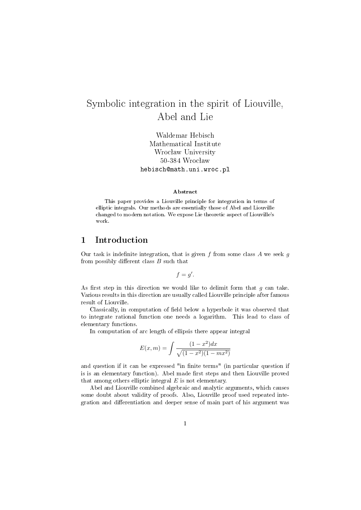# Symbolic integration in the spirit of Liouville, Abel and Lie

Waldemar Hebisch Mathematical Institute Wrocław University 50-384 Wrocław hebisch@math.uni.wroc.pl

#### Abstract

This paper provides a Liouville principle for integration in terms of elliptic integrals. Our methods are essentially those of Abel and Liouville changed to modern notation. We expose Lie theoretic aspect of Liouville's work.

# 1 Introduction

Our task is indefinite integration, that is given  $f$  from some class  $A$  we seek  $g$ from possibly different class  $B$  such that

 $f = g'$ .

As first step in this direction we would like to delimit form that  $g$  can take. Various results in this direction are usually called Liouville principle after famous result of Liouville.

Classically, in computation of field below a hyperbole it was observed that to integrate rational function one needs a logarithm. This lead to class of elementary functions.

In computation of arc length of ellipsis there appear integral

$$
E(x, m) = \int \frac{(1 - x^2)dx}{\sqrt{(1 - x^2)(1 - mx^2)}}
$$

and question if it can be expressed "in finite terms" (in particular question if is is an elementary function). Abel made first steps and then Liouville proved that among others elliptic integral  $E$  is not elementary.

Abel and Liouville combined algebraic and analytic arguments, which causes some doubt about validity of proofs. Also, Liouville proof used repeated integration and dierentiation and deeper sense of main part of his argument was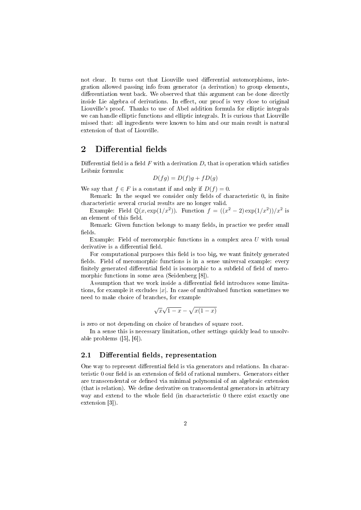not clear. It turns out that Liouville used differential automorphisms, integration allowed passing info from generator (a derivation) to group elements, differentiation went back. We observed that this argument can be done directly inside Lie algebra of derivations. In effect, our proof is very close to original Liouville's proof. Thanks to use of Abel addition formula for elliptic integrals we can handle elliptic functions and elliptic integrals. It is curious that Liouville missed that: all ingredients were known to him and our main result is natural extension of that of Liouville.

# 2 Differential fields

Differential field is a field  $F$  with a derivation  $D$ , that is operation which satisfies Leibniz formula:

$$
D(fg) = D(f)g + fD(g)
$$

We say that  $f \in F$  is a constant if and only if  $D(f) = 0$ .

Remark: In the sequel we consider only fields of characteristic 0, in finite characteristic several crucial results are no longer valid.

Example: Field  $\mathbb{Q}(x, \exp(1/x^2))$ . Function  $f = ((x^2 - 2) \exp(1/x^2))/x^2$  is an element of this field.

Remark: Given function belongs to many fields, in practice we prefer small fields.

Example: Field of meromorphic functions in a complex area  $U$  with usual derivative is a differential field.

For computational purposes this field is too big, we want finitely generated fields. Field of meromorphic functions is in a sense universal example: every finitely generated differential field is isomorphic to a subfield of field of meromorphic functions in some area (Seidenberg [8]).

Assumption that we work inside a differential field introduces some limitations, for example it excludes  $|x|$ . In case of multivalued function sometimes we need to make choice of branches, for example

$$
\sqrt{x}\sqrt{1-x} - \sqrt{x(1-x)}
$$

is zero or not depending on choice of branches of square root.

In a sense this is necessary limitation, other settings quickly lead to unsolvable problems ([5], [6]).

#### 2.1 Differential fields, representation

One way to represent differential field is via generators and relations. In characteristic  $0$  our field is an extension of field of rational numbers. Generators either are transcendental or defined via minimal polynomial of an algebraic extension (that is relation). We dene derivative on transcendental generators in arbitrary way and extend to the whole field (in characteristic 0 there exist exactly one extension [3]).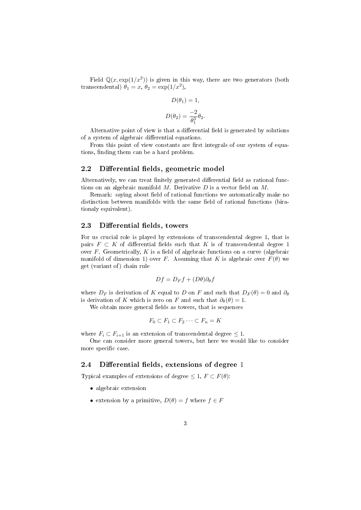Field  $\mathbb{Q}(x, \exp(1/x^2))$  is given in this way, there are two generators (both transcendental)  $\theta_1 = x, \ \theta_2 = \exp(1/x^2),$ 

$$
D(\theta_1) = 1,
$$
  

$$
D(\theta_2) = \frac{-2}{\theta_1^3} \theta_2.
$$

Alternative point of view is that a differential field is generated by solutions of a system of algebraic differential equations.

From this point of view constants are first integrals of our system of equations, finding them can be a hard problem.

### 2.2 Differential fields, geometric model

Alternatively, we can treat finitely generated differential field as rational functions on an algebraic manifold  $M$ . Derivative  $D$  is a vector field on  $M$ .

Remark: saying about field of rational functions we automatically make no distinction between manifolds with the same field of rational functions (birationaly equivalent).

#### 2.3 Differential fields, towers

For us crucial role is played by extensions of transcendental degree 1, that is pairs  $F \subset K$  of differential fields such that K is of transcendental degree 1 over  $F$ . Geometrically,  $K$  is a field of algebraic functions on a curve (algebraic manifold of dimension 1) over F. Assuming that K is algebraic over  $F(\theta)$  we get (variant of) chain rule

$$
Df = D_F f + (D\theta)\partial_{\theta}f
$$

where  $D_F$  is derivation of K equal to D on F and such that  $D_F(\theta) = 0$  and  $\partial_{\theta}$ is derivation of K which is zero on F and such that  $\partial_{\theta}(\theta) = 1$ .

We obtain more general fields as towers, that is sequences

$$
F_0 \subset F_1 \subset F_2 \cdots \subset F_n = K
$$

where  $F_i \subset F_{i+1}$  is an extension of transcendental degree  $\leq 1$ .

One can consider more general towers, but here we would like to consider more specific case.

#### 2.4 Differential fields, extensions of degree 1

Typical examples of extensions of degree  $\leq 1, F \subset F(\theta)$ :

- algebraic extension
- extension by a primitive,  $D(\theta) = f$  where  $f \in F$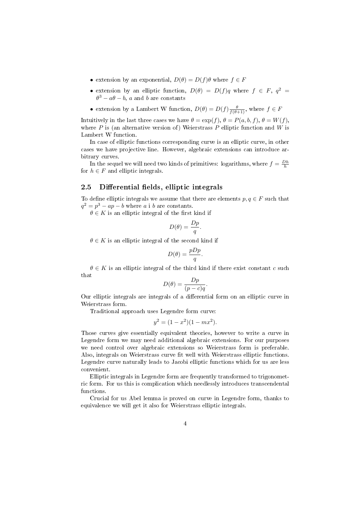- extension by an exponential,  $D(\theta) = D(f)\theta$  where  $f \in F$
- extension by an elliptic function,  $D(\theta) = D(f)q$  where  $f \in F$ ,  $q^2 =$  $\theta^3 - a\theta - b$ , a and b are constants
- extension by a Lambert W function,  $D(\theta) = D(f) \frac{\theta}{f(\theta+1)}$ , where  $f \in F$

Intuitively in the last three cases we have  $\theta = \exp(f), \theta = P(a, b, f), \theta = W(f)$ . where  $P$  is (an alternative version of) Weierstrass  $P$  elliptic function and  $W$  is Lambert W function.

In case of elliptic functions corresponding curve is an elliptic curve, in other cases we have projective line. However, algebraic extensions can introduce arbitrary curves.

In the sequel we will need two kinds of primitives: logarithms, where  $f = \frac{Dh}{h}$ for  $h \in F$  and elliptic integrals.

#### 2.5 Differential fields, elliptic integrals

To define elliptic integrals we assume that there are elements  $p, q \in F$  such that  $q^2 = p^3 - ap - b$  where a i b are constants.

 $\theta \in K$  is an elliptic integral of the first kind if

$$
D(\theta) = \frac{Dp}{q}.
$$

 $\theta \in K$  is an elliptic integral of the second kind if

$$
D(\theta) = \frac{pDp}{q}.
$$

 $\theta \in K$  is an elliptic integral of the third kind if there exist constant c such that

$$
D(\theta) = \frac{Dp}{(p-c)q}.
$$

Our elliptic integrals are integrals of a differential form on an elliptic curve in Weierstrass form.

Traditional approach uses Legendre form curve:

$$
y^2 = (1 - x^2)(1 - mx^2).
$$

Those curves give essentially equivalent theories, however to write a curve in Legendre form we may need additional algebraic extensions. For our purposes we need control over algebraic extensions so Weierstrass form is preferable. Also, integrals on Weierstrass curve fit well with Weierstrass elliptic functions. Legendre curve naturally leads to Jacobi elliptic functions which for us are less convenient.

Elliptic integrals in Legendre form are frequently transformed to trigonometric form. For us this is complication which needlessly introduces transcendental functions.

Crucial for us Abel lemma is proved on curve in Legendre form, thanks to equivalence we will get it also for Weierstrass elliptic integrals.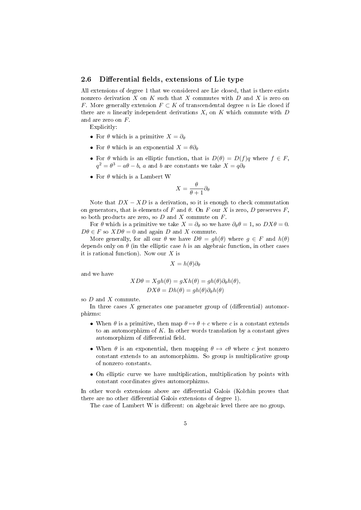#### 2.6 Differential fields, extensions of Lie type

All extensions of degree 1 that we considered are Lie closed, that is there exists nonzero derivation  $X$  on  $K$  such that  $X$  commutes with  $D$  and  $X$  is zero on F. More generally extension  $F \subset K$  of transcendental degree n is Lie closed if there are n linearly independent derivations  $X_i$  on K which commute with D and are zero on F.

Explicitly:

- For  $\theta$  which is a primitive  $X = \partial_{\theta}$
- For  $\theta$  which is an exponential  $X = \theta \partial_{\theta}$
- For  $\theta$  which is an elliptic function, that is  $D(\theta) = D(f)q$  where  $f \in F$ ,  $q^2 = \theta^3 - a\theta - b$ , a and b are constants we take  $X = q\partial_\theta$
- For  $\theta$  which is a Lambert W

$$
X = \frac{\theta}{\theta + 1} \partial_{\theta}
$$

Note that  $DX - XD$  is a derivation, so it is enough to check commutation on generators, that is elements of F and  $\theta$ . On F our X is zero, D preserves F. so both products are zero, so  $D$  and  $X$  commute on  $F$ .

For  $\theta$  which is a primitive we take  $X = \partial_{\theta}$  so we have  $\partial_{\theta} \theta = 1$ , so  $DX\theta = 0$ .  $D\theta \in F$  so  $XD\theta = 0$  and again D and X commute.

More generally, for all our  $\theta$  we have  $D\theta = gh(\theta)$  where  $g \in F$  and  $h(\theta)$ depends only on  $\theta$  (in the elliptic case h is an algebraic function, in other cases it is rational function). Now our  $X$  is

$$
X = h(\theta)\partial_{\theta}
$$

and we have

$$
XD\theta = Xgh(\theta) = gXh(\theta) = gh(\theta)\partial_{\theta}h(\theta),
$$
  

$$
DX\theta = Dh(\theta) = gh(\theta)\partial_{\theta}h(\theta)
$$

so D and X commute.

In three cases  $X$  generates one parameter group of (differential) automorphizms:

- When  $\theta$  is a primitive, then map  $\theta \mapsto \theta + c$  where c is a constant extends to an automorphizm of  $K$ . In other words translation by a constant gives automorphizm of differential field.
- When  $\theta$  is an exponential, then mapping  $\theta \mapsto c\theta$  where c jest nonzero constant extends to an automorphizm. So group is multiplicative group of nonzero constants.
- On elliptic curve we have multiplication, multiplication by points with constant coordinates gives automorphizms.

In other words extensions above are differential Galois (Kolchin proves that there are no other differential Galois extensions of degree 1).

The case of Lambert W is different: on algebraic level there are no group.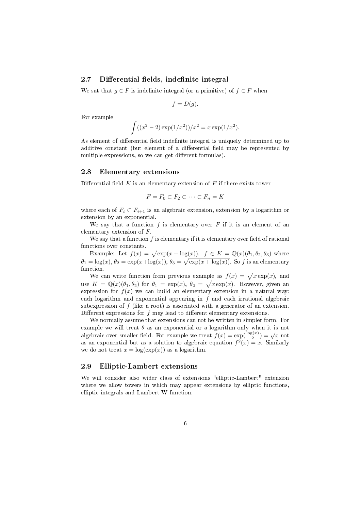#### 2.7 Differential fields, indefinite integral

We sat that  $q \in F$  is indefinite integral (or a primitive) of  $f \in F$  when

$$
f=D(g).
$$

For example

$$
\int ((x^2 - 2) \exp(1/x^2)) / x^2 = x \exp(1/x^2).
$$

As element of differential field indefinite integral is uniquely determined up to additive constant (but element of a differential field may be represented by multiple expressions, so we can get different formulas).

#### 2.8 Elementary extensions

Differential field  $K$  is an elementary extension of  $F$  if there exists tower

$$
F = F_0 \subset F_2 \subset \cdots \subset F_n = K
$$

where each of  $F_i \subset F_{i+1}$  is an algebraic extension, extension by a logarithm or extension by an exponential.

We say that a function  $f$  is elementary over  $F$  if it is an element of an elementary extension of F.

We say that a function  $f$  is elementary if it is elementary over field of rational functions over constants.

Example: Let  $f(x) = \sqrt{\exp(x + \log(x))}$ .  $f \in K = \mathbb{Q}(x)(\theta_1, \theta_2, \theta_3)$  where  $\theta_1 = \log(x), \theta_2 = \exp(x + \log(x)), \theta_3 = \sqrt{\exp(x + \log(x))}$ . So f is an elementary function.

We can write function from previous example as  $f(x) = \sqrt{x \exp(x)}$ , and use  $K = \mathbb{Q}(x)(\theta_1, \theta_2)$  for  $\theta_1 = \exp(x), \ \theta_2 = \sqrt{x \exp(x)}$ . However, given an expression for  $f(x)$  we can build an elementary extension in a natural way: each logarithm and exponential appearing in  $f$  and each irrational algebraic subexpression of f (like a root) is associated with a generator of an extension. Different expressions for  $f$  may lead to different elementary extensions.

We normally assume that extensions can not be written in simpler form. For example we will treat  $\theta$  as an exponential or a logarithm only when it is not discrete text of the state of the state of the state of the state of  $f(x) = \exp(\frac{\log(x)}{2}) = \sqrt{x}$  not algebraic over smaller field. For example we treat  $f(x) = \exp(\frac{\log(x)}{2}) = \sqrt{x}$  not as an exponential but as a solution to algebraic equation  $f^2(x) = x$ . Similarly we do not treat  $x = \log(\exp(x))$  as a logarithm.

#### 2.9 Elliptic-Lambert extensions

We will consider also wider class of extensions "elliptic-Lambert" extension where we allow towers in which may appear extensions by elliptic functions, elliptic integrals and Lambert W function.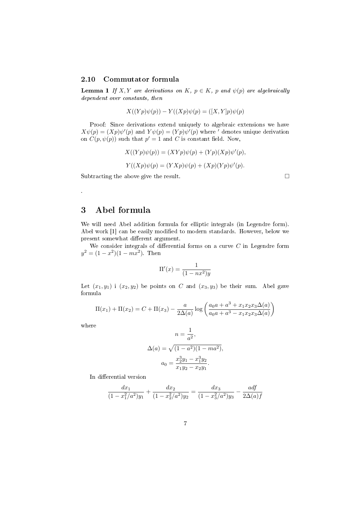#### 2.10 Commutator formula

**Lemma 1** If X, Y are derivations on K,  $p \in K$ , p and  $\psi(p)$  are algebraically dependent over constants, then

$$
X((Yp)\psi(p)) - Y((Xp)\psi(p) = ([X,Y]p)\psi(p)
$$

Proof: Since derivations extend uniquely to algebraic extensions we have  $X\psi(p) = (Xp)\psi'(p)$  and  $Y\psi(p) = (Yp)\psi'(p)$  where ' denotes unique derivation on  $C(p, \psi(p))$  such that  $p' = 1$  and C is constant field. Now,

$$
X((Yp)\psi(p)) = (XYp)\psi(p) + (Yp)(Xp)\psi'(p),
$$
  

$$
Y((Xp)\psi(p) = (YXp)\psi(p) + (Xp)(Yp)\psi'(p).
$$

Subtracting the above give the result.

# 3 Abel formula

We will need Abel addition formula for elliptic integrals (in Legendre form). Abel work [1] can be easily modified to modern standards. However, below we present somewhat different argument.

We consider integrals of differential forms on a curve  $C$  in Legendre form  $y^2 = (1 - x^2)(1 - mx^2)$ . Then

$$
\Pi'(x) = \frac{1}{(1 - nx^2)y}
$$

Let  $(x_1, y_1)$  i  $(x_2, y_2)$  be points on C and  $(x_3, y_3)$  be their sum. Abel gave formula

$$
\Pi(x_1) + \Pi(x_2) = C + \Pi(x_3) - \frac{a}{2\Delta(a)} \log \left( \frac{a_0 a + a^3 + x_1 x_2 x_3 \Delta(a)}{a_0 a + a^3 - x_1 x_2 x_3 \Delta(a)} \right)
$$

where

.

$$
n = \frac{1}{a^2},
$$
  
\n
$$
\Delta(a) = \sqrt{(1 - a^2)(1 - ma^2)},
$$
  
\n
$$
a_0 = \frac{x_2^3 y_1 - x_1^3 y_2}{x_1 y_2 - x_2 y_1}.
$$

In differential version

$$
\frac{dx_1}{(1-x_1^2/a^2)y_1} + \frac{dx_2}{(1-x_2^2/a^2)y_2} = \frac{dx_3}{(1-x_3^2/a^2)y_3} - \frac{adj}{2\Delta(a)f}
$$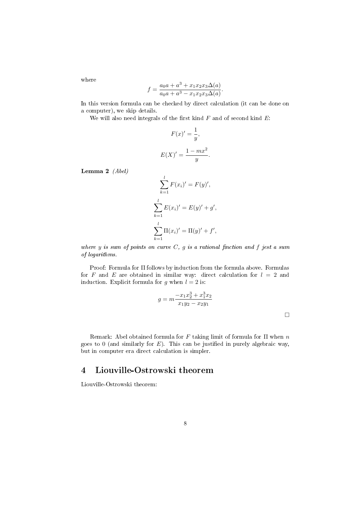where

$$
f = \frac{a_0 a + a^3 + x_1 x_2 x_3 \Delta(a)}{a_0 a + a^3 - x_1 x_2 x_3 \Delta(a)}.
$$

In this version formula can be checked by direct calculation (it can be done on a computer), we skip details.

We will also need integrals of the first kind  $F$  and of second kind  $E$ :

$$
F(x)' = \frac{1}{y},
$$

$$
E(X)' = \frac{1 - mx^2}{y}
$$

.

Lemma 2 (Abel)

$$
\sum_{k=1}^{l} F(x_i)' = F(y)',
$$
  

$$
\sum_{k=1}^{l} E(x_i)' = E(y)' + g',
$$
  

$$
\sum_{k=1}^{l} \Pi(x_i)' = \Pi(y)' + f',
$$

where  $y$  is sum of points on curve  $C, g$  is a rational finction and  $f$  jest a sum of logarithms.

Proof: Formula for Π follows by induction from the formula above. Formulas for F and E are obtained in similar way: direct calculation for  $l = 2$  and induction. Explicit formula for g when  $l = 2$  is:

$$
g = m \frac{-x_1 x_2^3 + x_1^3 x_2}{x_1 y_2 - x_2 y_1}
$$

Remark: Abel obtained formula for  $F$  taking limit of formula for  $\Pi$  when  $n$ goes to 0 (and similarly for  $E$ ). This can be justified in purely algebraic way, but in computer era direct calculation is simpler.

# 4 Liouville-Ostrowski theorem

Liouville-Ostrowski theorem: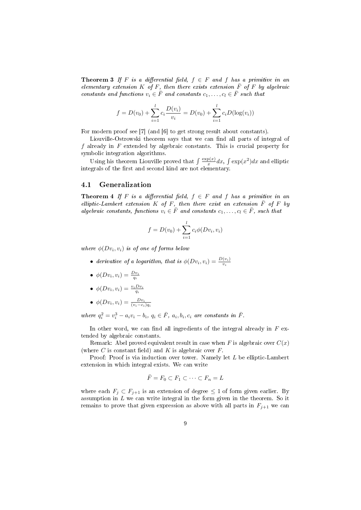Theorem 3 If F is a differential field,  $f \in F$  and f has a primitive in an elementary extension K of F, then there exists extension  $\overline{F}$  of F by algebraic constants and functions  $v_i \in \overline{F}$  and constants  $c_1, \ldots, c_l \in \overline{F}$  such that

$$
f = D(v_0) + \sum_{i=1}^{l} c_i \frac{D(v_i)}{v_i} = D(v_0) + \sum_{i=1}^{l} c_i D(\log(v_i))
$$

For modern proof see [7] (and [6] to get strong result about constants).

Liouville-Ostrowski theorem says that we can find all parts of integral of f already in  $F$  extended by algebraic constants. This is crucial property for symbolic integration algorithms.

Using his theorem Liouville proved that  $\int \frac{\exp(x)}{x} dx$ ,  $\int \exp(x^2) dx$  and elliptic integrals of the first and second kind are not elementary.

#### 4.1 Generalization

**Theorem 4** If F is a differential field,  $f \in F$  and f has a primitive in an elliptic-Lambert extension K of F, then there exist an extension  $\overline{F}$  of F by algebraic constants, functions  $v_i \in \overline{F}$  and constants  $c_1, \ldots, c_l \in \overline{F}$ , such that

$$
f = D(v_0) + \sum_{i=1}^{l} c_i \phi(Dv_i, v_i)
$$

where  $\phi(Dv_i, v_i)$  is of one of forms below

- derivative of a logarithm, that is  $\phi(Dv_i, v_i) = \frac{D(v_i)}{v_i}$
- $\phi(Dv_i, v_i) = \frac{Dv_i}{q_i}$

• 
$$
\phi(Dv_i, v_i) = \frac{v_i D v_i}{q_i}
$$

•  $\phi(Dv_i, v_i) = \frac{Dv_i}{(v_i - c_i)q_i}$ 

where  $q_i^2 = v_i^3 - a_i v_i - b_i$ ,  $q_i \in \overline{F}$ ,  $a_i, b_i, c_i$  are constants in  $\overline{F}$ .

In other word, we can find all ingredients of the integral already in  $F$  extended by algebraic constants.

Remark: Abel proved equivalent result in case when F is algebraic over  $C(x)$ (where C is constant field) and K is algebraic over  $F$ .

Proof: Proof is via induction over tower. Namely let L be elliptic-Lambert extension in which integral exists. We can write

$$
\bar{F} = F_0 \subset F_1 \subset \cdots \subset F_n = L
$$

where each  $F_j \subset F_{j+1}$  is an extension of degree  $\leq 1$  of form given earlier. By assumption in  $L$  we can write integral in the form given in the theorem. So it remains to prove that given expression as above with all parts in  $F_{j+1}$  we can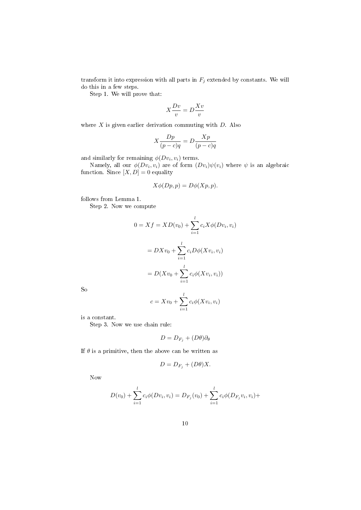transform it into expression with all parts in  $F_j$  extended by constants. We will do this in a few steps.

Step 1. We will prove that:

$$
X\frac{Dv}{v} = D\frac{Xv}{v}
$$

where  $X$  is given earlier derivation commuting with  $D$ . Also

$$
X\frac{Dp}{(p-c)q} = D\frac{Xp}{(p-c)q}
$$

and similarly for remaining  $\phi(Dv_i, v_i)$  terms.

Namely, all our  $\phi(Dv_i, v_i)$  are of form  $(Dv_i)\psi(v_i)$  where  $\psi$  is an algebraic function. Since  $[X, D] = 0$  equality

$$
X\phi(Dp, p) = D\phi(Xp, p).
$$

follows from Lemma 1.

Step 2. Now we compute

$$
0 = Xf = XD(v_0) + \sum_{i=1}^{l} c_i X \phi(Dv_i, v_i)
$$

$$
= DXv_0 + \sum_{i=1}^{l} c_i D\phi(Xv_i, v_i)
$$

$$
= D(Xv_0 + \sum_{i=1}^{l} c_i \phi(Xv_i, v_i))
$$

So

$$
c = Xv_0 + \sum_{i=1}^{l} c_i \phi(Xv_i, v_i)
$$

is a constant.

Step 3. Now we use chain rule:

$$
D=D_{F_j}+(D\theta)\partial_\theta
$$

If  $\theta$  is a primitive, then the above can be written as

$$
D = D_{F_j} + (D\theta)X.
$$

Now

$$
D(v_0) + \sum_{i=1}^{l} c_i \phi(Dv_i, v_i) = D_{F_j}(v_0) + \sum_{i=1}^{l} c_i \phi(D_{F_j}v_i, v_i) +
$$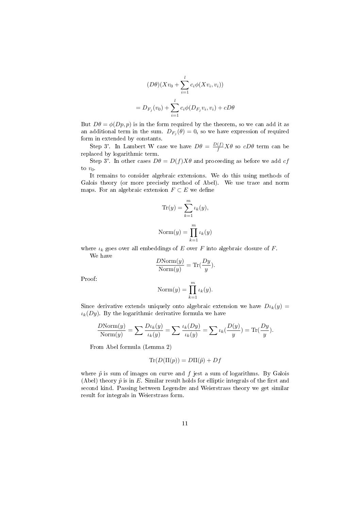$$
(D\theta)(Xv_0 + \sum_{i=1}^l c_i \phi(Xv_i, v_i))
$$
  
=  $D_{F_j}(v_0) + \sum_{i=1}^l c_i \phi(D_{F_j}v_i, v_i) + cD\theta$ 

But  $D\theta = \phi(Dp, p)$  is in the form required by the theorem, so we can add it as an additional term in the sum.  $D_{F_j}(\theta) = 0$ , so we have expression of required form in extended by constants.

Step 3'. In Lambert W case we have  $D\theta = \frac{D(f)}{f} X\theta$  so  $cD\theta$  term can be replaced by logarithmic term.

Step 3". In other cases  $D\theta = D(f)X\theta$  and proceeding as before we add cf to  $v_0$ .

It remains to consider algebraic extensions. We do this using methods of Galois theory (or more precisely method of Abel). We use trace and norm maps. For an algebraic extension  $F \subset E$  we define

$$
\text{Tr}(y) = \sum_{k=1}^{m} \iota_k(y),
$$
  
Norm(y) = 
$$
\prod_{k=1}^{m} \iota_k(y)
$$

where  $\iota_k$  goes over all embeddings of E over F into algebraic closure of F. We have

$$
\frac{D\text{Norm}(y)}{\text{Norm}(y)} = \text{Tr}(\frac{Dy}{y}).
$$

Proof:

$$
\text{Norm}(y) = \prod_{k=1}^{m} \iota_k(y).
$$

Since derivative extends uniquely onto algebraic extension we have  $D\iota_k(y) =$  $\iota_k(Dy)$ . By the logarithmic derivative formula we have

$$
\frac{D\text{Norm}(y)}{\text{Norm}(y)} = \sum \frac{D\iota_k(y)}{\iota_k(y)} = \sum \frac{\iota_k(Dy)}{\iota_k(y)} = \sum \iota_k(\frac{D(y)}{y}) = \text{Tr}(\frac{Dy}{y}).
$$

From Abel formula (Lemma 2)

$$
\text{Tr}(D(\Pi(p)) = D\Pi(\tilde{p}) + Df
$$

where  $\tilde{p}$  is sum of images on curve and f jest a sum of logarithms. By Galois (Abel) theory  $\tilde{p}$  is in E. Similar result holds for elliptic integrals of the first and second kind. Passing between Legendre and Weierstrass theory we get similar result for integrals in Weierstrass form.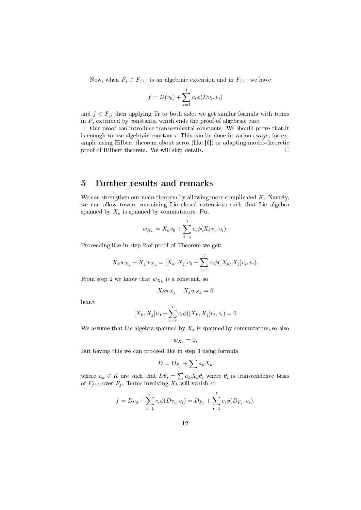Now, when  $F_j \subset F_{j+1}$  is an algebraic extension and in  $F_{j+1}$  we have

$$
f = D(v_0) + \sum_{i=1}^{l} c_i \phi(Dv_i, v_i)
$$

and  $f \in F_j$ , then applying Tr to both sides we get similar formula with terms in  $F_j$  extended by constants, which ends the proof of algebraic case.

Our proof can introduce transcendental constants. We should prove that it is enough to use algebraic constants. This can be done in various ways, for example using Hilbert theorem about zeros (like [6]) or adapting model-theoretic proof of Hilbert theorem. We will skip details.

# 5 Further results and remarks

We can strengthen our main theorem by allowing more complicated  $K$ . Namely, we can allow towers containing Lie closed extensions such that Lie algebra spanned by  $X_k$  is spanned by commutators. Put

$$
w_{X_k} = X_k v_0 + \sum_{i=1}^l c_i \phi(X_k v_i, v_i).
$$

Proceeding like in step 2 of proof of Theorem we get:

$$
X_k w_{X_j} - X_j w_{X_k} = [X_k, X_j] v_0 + \sum_{i=1}^l c_i \phi([X_k, X_j] v_i, v_i).
$$

From step 2 we know that  $w_{X_k}$  is a constant, so

$$
X_k w_{X_j} - X_j w_{X_k} = 0
$$

hence

$$
[X_k, X_j]v_0 + \sum_{i=1}^l c_i \phi([X_k, X_j]v_i, v_i) = 0
$$

We assume that Lie algebra spanned by  $X_k$  is spanned by commutators, so also

$$
w_{X_k}=0.
$$

But having this we can proceed like in step 3 using formula

$$
D = D_{F_j} + \sum a_k X_k
$$

where  $a_k \in K$  are such that  $D\theta_i = \sum a_k X_k \theta_i$  where  $\theta_i$  is transcendence basis of  $F_{j+1}$  over  $F_j$ . Terms involving  $X_k$  will vanish so

$$
f = Dv_0 + \sum_{i=1}^{l} c_i \phi(Dv_i, v_i) = D_{F_j} + \sum_{i=1}^{l} c_i \phi(D_{F_j}, v_i).
$$